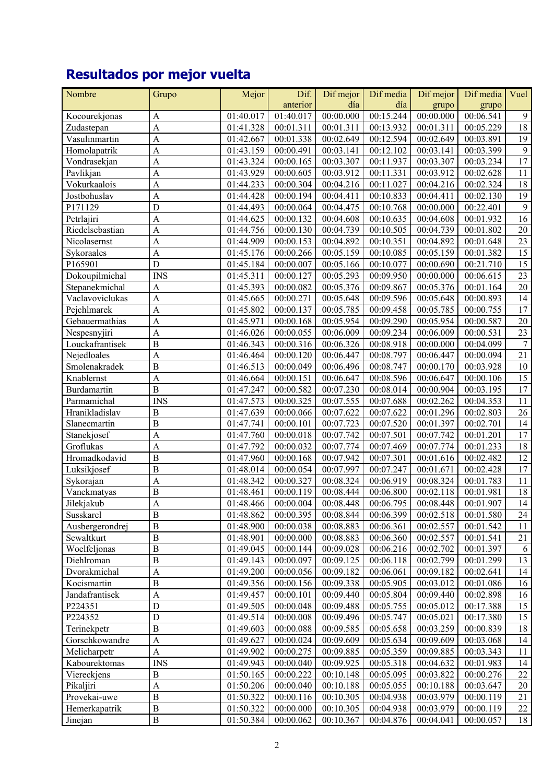## **Resultados por mejor vuelta**

| Nombre          | Grupo                     | Mejor     | Dif.                   | Dif mejor | Dif media | Dif mejor | Dif media | Vuel            |
|-----------------|---------------------------|-----------|------------------------|-----------|-----------|-----------|-----------|-----------------|
|                 |                           |           | anterior               | día       | día       | grupo     | grupo     |                 |
| Kocourekjonas   | A                         | 01:40.017 | 01:40.017              | 00:00.000 | 00:15.244 | 00:00.000 | 00:06.541 | 9               |
| Zudastepan      | $\mathbf{A}$              | 01:41.328 | 00:01.311              | 00:01.311 | 00:13.932 | 00:01.311 | 00:05.229 | 18              |
| Vasulinmartin   | $\mathbf{A}$              | 01:42.667 | 00:01.338              | 00:02.649 | 00:12.594 | 00:02.649 | 00:03.891 | 19              |
| Homolapatrik    | $\mathbf{A}$              | 01:43.159 | 00:00.491              | 00:03.141 | 00:12.102 | 00:03.141 | 00:03.399 | 9               |
| Vondrasekjan    | $\mathbf{A}$              | 01:43.324 | 00:00.165              | 00:03.307 | 00:11.937 | 00:03.307 | 00:03.234 | $\overline{17}$ |
| Pavlikjan       | $\mathbf{A}$              | 01:43.929 | 00:00.605              | 00:03.912 | 00:11.331 | 00:03.912 | 00:02.628 | 11              |
| Vokurkaalois    | $\overline{A}$            | 01:44.233 | 00:00.304              | 00:04.216 | 00:11.027 | 00:04.216 | 00:02.324 | 18              |
| Jostbohuslav    | $\mathbf{A}$              | 01:44.428 | 00:00.194              | 00:04.411 | 00:10.833 | 00:04.411 | 00:02.130 | 19              |
| P171129         | $\mathbf D$               | 01:44.493 | 00:00.064              | 00:04.475 | 00:10.768 | 00:00.000 | 00:22.401 | $\overline{9}$  |
| Petrlajiri      | $\overline{A}$            | 01:44.625 | 00:00.132              | 00:04.608 | 00:10.635 | 00:04.608 | 00:01.932 | 16              |
| Riedelsebastian | $\overline{A}$            | 01:44.756 | 00:00.130              | 00:04.739 | 00:10.505 | 00:04.739 | 00:01.802 | 20              |
| Nicolasernst    | $\mathbf{A}$              | 01:44.909 | 00:00.153              | 00:04.892 | 00:10.351 | 00:04.892 | 00:01.648 | 23              |
| Sykoraales      | $\mathbf{A}$              | 01:45.176 | 00:00.266              | 00:05.159 | 00:10.085 | 00:05.159 | 00:01.382 | 15              |
| P165901         | D                         | 01:45.184 | 00:00.007              | 00:05.166 | 00:10.077 | 00:00.690 | 00:21.710 | 15              |
| Dokoupilmichal  | <b>INS</b>                | 01:45.311 | 00:00.127              | 00:05.293 | 00:09.950 | 00:00.000 | 00:06.615 | 23              |
| Stepanekmichal  | $\mathbf{A}$              | 01:45.393 | 00:00.082              | 00:05.376 | 00:09.867 | 00:05.376 | 00:01.164 | 20              |
| Vaclavoviclukas | $\mathbf{A}$              | 01:45.665 | 00:00.271              | 00:05.648 | 00:09.596 | 00:05.648 | 00:00.893 | 14              |
| Pejchlmarek     | A                         | 01:45.802 | 00:00.137              | 00:05.785 | 00:09.458 | 00:05.785 | 00:00.755 | 17              |
| Gebauermathias  | $\mathbf{A}$              | 01:45.971 | 00:00.168              | 00:05.954 | 00:09.290 | 00:05.954 | 00:00.587 | 20              |
| Nespesnyjiri    | $\overline{A}$            | 01:46.026 | 00:00.055              | 00:06.009 | 00:09.234 | 00:06.009 | 00:00.531 | 23              |
| Louckafrantisek | $\overline{B}$            | 01:46.343 | 00:00.316              | 00:06.326 | 00:08.918 | 00:00.000 | 00:04.099 | $\tau$          |
| Nejedloales     | $\overline{A}$            | 01:46.464 | 00:00.120              | 00:06.447 | 00:08.797 | 00:06.447 | 00:00.094 | 21              |
| Smolenakradek   | $\, {\bf B}$              | 01:46.513 | 00:00.049              | 00:06.496 | 00:08.747 | 00:00.170 | 00:03.928 | 10              |
| Knablernst      | $\mathbf{A}$              | 01:46.664 | 00:00.151              | 00:06.647 | 00:08.596 | 00:06.647 | 00:00.106 | 15              |
| Burdamartin     | $\overline{B}$            | 01:47.247 | 00:00.582              | 00:07.230 | 00:08.014 | 00:00.904 | 00:03.195 | 17              |
| Parmamichal     | <b>INS</b>                | 01:47.573 | 00:00.325              | 00:07.555 | 00:07.688 | 00:02.262 | 00:04.353 | 11              |
| Hranikladislav  | $\, {\bf B}$              | 01:47.639 | 00:00.066              | 00:07.622 | 00:07.622 | 00:01.296 | 00:02.803 | 26              |
| Slanecmartin    | $\overline{B}$            | 01:47.741 | 00:00.101              | 00:07.723 | 00:07.520 | 00:01.397 | 00:02.701 | 14              |
| Stanekjosef     | $\overline{A}$            | 01:47.760 | 00:00.018              | 00:07.742 | 00:07.501 | 00:07.742 | 00:01.201 | 17              |
| Groflukas       | A                         | 01:47.792 | 00:00.032              | 00:07.774 | 00:07.469 | 00:07.774 | 00:01.233 | 18              |
| Hromadkodavid   | $\overline{B}$            | 01:47.960 | 00:00.168              | 00:07.942 | 00:07.301 | 00:01.616 | 00:02.482 | 12              |
| Luksikjosef     | $\overline{B}$            | 01:48.014 | $\overline{00:}00.054$ | 00:07.997 | 00:07.247 | 00:01.671 | 00:02.428 | 17              |
| Sykorajan       | $\mathbf{A}$              | 01:48.342 | 00:00.327              | 00:08.324 | 00:06.919 | 00:08.324 | 00:01.783 | 11              |
| Vanekmatyas     | $\mathbf B$               | 01:48.461 | 00:00.119              | 00:08.444 | 00:06.800 | 00:02.118 | 00:01.981 | 18              |
| Jilekjakub      | $\overline{A}$            | 01:48.466 | 00:00.004              | 00:08.448 | 00:06.795 | 00:08.448 | 00:01.907 | 14              |
| Susskarel       | $\bf{B}$                  | 01:48.862 | 00:00.395              | 00:08.844 | 00:06.399 | 00:02.518 | 00:01.580 | 24              |
| Ausbergerondrej | $\, {\bf B}$              | 01:48.900 | 00:00.038              | 00:08.883 | 00:06.361 | 00:02.557 | 00:01.542 | 11              |
| Sewaltkurt      | $\mathbf B$               | 01:48.901 | 00:00.000              | 00:08.883 | 00:06.360 | 00:02.557 | 00:01.541 | 21              |
| Woelfeljonas    | $\, {\bf B}$              | 01:49.045 | 00:00.144              | 00:09.028 | 00:06.216 | 00:02.702 | 00:01.397 | 6               |
| Diehlroman      | $\, {\bf B}$              | 01:49.143 | 00:00.097              | 00:09.125 | 00:06.118 | 00:02.799 | 00:01.299 | 13              |
| Dvorakmichal    | $\overline{A}$            | 01:49.200 | 00:00.056              | 00:09.182 | 00:06.061 | 00:09.182 | 00:02.641 | 14              |
| Kocismartin     | $\mathbf B$               | 01:49.356 | 00:00.156              | 00:09.338 | 00:05.905 | 00:03.012 | 00:01.086 | 16              |
| Jandafrantisek  | $\mathbf{A}$              | 01:49.457 | 00:00.101              | 00:09.440 | 00:05.804 | 00:09.440 | 00:02.898 | 16              |
| P224351         | $\mathbf D$               | 01:49.505 | 00:00.048              | 00:09.488 | 00:05.755 | 00:05.012 | 00:17.388 | 15              |
| P224352         | $\mathbf D$               | 01:49.514 | 00:00.008              | 00:09.496 | 00:05.747 | 00:05.021 | 00:17.380 | 15              |
| Terinekpetr     | $\, {\bf B}$              | 01:49.603 | 00:00.088              | 00:09.585 | 00:05.658 | 00:03.259 | 00:00.839 | 18              |
| Gorschkowandre  | $\mathbf{A}$              | 01:49.627 | 00:00.024              | 00:09.609 | 00:05.634 | 00:09.609 | 00:03.068 | 14              |
| Melicharpetr    | $\boldsymbol{\mathsf{A}}$ | 01:49.902 | 00:00.275              | 00:09.885 | 00:05.359 | 00:09.885 | 00:03.343 | 11              |
| Kabourektomas   | $\overline{\text{INS}}$   | 01:49.943 | 00:00.040              | 00:09.925 | 00:05.318 | 00:04.632 | 00:01.983 | 14              |
| Viereckjens     | $\, {\bf B}$              | 01:50.165 | 00:00.222              | 00:10.148 | 00:05.095 | 00:03.822 | 00:00.276 | 22              |
| Pikaljiri       | $\mathbf{A}$              | 01:50.206 | 00:00.040              | 00:10.188 | 00:05.055 | 00:10.188 | 00:03.647 | 20              |
| Provekai-uwe    | $\, {\bf B}$              | 01:50.322 | 00:00.116              | 00:10.305 | 00:04.938 | 00:03.979 | 00:00.119 | 21              |
| Hemerkapatrik   | $\, {\bf B}$              | 01:50.322 | 00:00.000              | 00:10.305 | 00:04.938 | 00:03.979 | 00:00.119 | 22              |
| Jinejan         | $\, {\bf B}$              | 01:50.384 | 00:00.062              | 00:10.367 | 00:04.876 | 00:04.041 | 00:00.057 | 18              |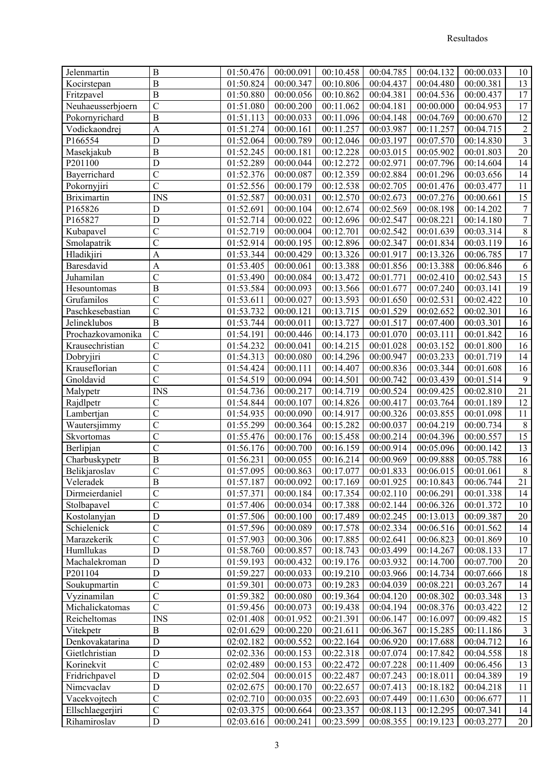| Jelenmartin        | $\boldsymbol{B}$            | 01:50.476 | 00:00.091              | 00:10.458                        | 00:04.785 | 00:04.132                                                                            | 00:00.033 | 10               |
|--------------------|-----------------------------|-----------|------------------------|----------------------------------|-----------|--------------------------------------------------------------------------------------|-----------|------------------|
| Kocirstepan        | $\overline{B}$              | 01:50.824 | 00:00.347              | 00:10.806                        | 00:04.437 | 00:04.480                                                                            | 00:00.381 | 13               |
| Fritzpavel         | $\overline{B}$              | 01:50.880 | 00:00.056              | 00:10.862                        | 00:04.381 | 00:04.536                                                                            | 00:00.437 | 17               |
| Neuhaeusserbjoern  | $\overline{C}$              | 01:51.080 | 00:00.200              | 00:11.062                        | 00:04.181 | 00:00.000                                                                            | 00:04.953 | 17               |
| Pokornyrichard     | $\overline{B}$              | 01:51.113 | 00:00.033              | 00:11.096                        | 00:04.148 | 00:04.769                                                                            | 00:00.670 | 12               |
| Vodickaondrej      | $\overline{A}$              | 01:51.274 | $\overline{0}0:00.161$ | 00:11.257                        | 00:03.987 | 00:11.257                                                                            | 00:04.715 | $\overline{2}$   |
| P166554            | $\mathbf D$                 | 01:52.064 | 00:00.789              | 00:12.046                        | 00:03.197 | 00:07.570                                                                            | 00:14.830 | $\overline{3}$   |
| Masekjakub         | $\mathbf B$                 | 01:52.245 | 00:00.181              | 00:12.228                        | 00:03.015 | 00:05.902                                                                            | 00:01.803 | $20\,$           |
| P201100            | D                           | 01:52.289 | 00:00.044              | 00:12.272                        | 00:02.971 | 00:07.796                                                                            | 00:14.604 | 14               |
| Bayerrichard       | $\mathbf C$                 | 01:52.376 | 00:00.087              | 00:12.359                        | 00:02.884 | 00:01.296                                                                            | 00:03.656 | 14               |
| Pokornyjiri        | $\overline{\rm c}$          | 01:52.556 | 00:00.179              | 00:12.538                        | 00:02.705 | 00:01.476                                                                            | 00:03.477 | 11               |
| <b>Briximartin</b> | <b>INS</b>                  | 01:52.587 | 00:00.031              | 00:12.570                        | 00:02.673 | 00:07.276                                                                            | 00:00.661 | $\overline{15}$  |
| P165826            | $\mathbf D$                 | 01:52.691 | 00:00.104              | 00:12.674                        | 00:02.569 | 00:08.198                                                                            | 00:14.202 | $\boldsymbol{7}$ |
| P165827            | D                           | 01:52.714 | 00:00.022              | 00:12.696                        | 00:02.547 | 00:08.221                                                                            | 00:14.180 | $\overline{7}$   |
| Kubapavel          | $\overline{C}$              | 01:52.719 | 00:00.004              | 00:12.701                        | 00:02.542 | 00:01.639                                                                            | 00:03.314 | $\overline{8}$   |
| Smolapatrik        | $\overline{\mathrm{c}}$     | 01:52.914 | 00:00.195              | 00:12.896                        | 00:02.347 | 00:01.834                                                                            | 00:03.119 | 16               |
| <b>Hladikjiri</b>  | $\overline{A}$              | 01:53.344 | 00:00.429              | 00:13.326                        | 00:01.917 | 00:13.326                                                                            | 00:06.785 | 17               |
| Baresdavid         | $\overline{A}$              | 01:53.405 | 00:00.061              | 00:13.388                        | 00:01.856 | 00:13.388                                                                            | 00:06.846 | 6                |
| Juhamilan          | $\overline{\text{c}}$       | 01:53.490 | 00:00.084              | 00:13.472                        | 00:01.771 | 00:02.410                                                                            | 00:02.543 | 15               |
| Hesountomas        | $\overline{B}$              | 01:53.584 | 00:00.093              | 00:13.566                        | 00:01.677 | 00:07.240                                                                            | 00:03.141 | 19               |
| Grufamilos         | $\overline{C}$              | 01:53.611 | 00:00.027              | 00:13.593                        | 00:01.650 | 00:02.531                                                                            | 00:02.422 | 10               |
| Paschkesebastian   | $\overline{C}$              | 01:53.732 | 00:00.121              | 00:13.715                        | 00:01.529 | 00:02.652                                                                            | 00:02.301 | 16               |
| Jelineklubos       | $\overline{B}$              | 01:53.744 | 00:00.011              | 00:13.727                        | 00:01.517 | 00:07.400                                                                            | 00:03.301 | 16               |
| Prochazkovamonika  | $\overline{C}$              | 01:54.191 | 00:00.446              | 00:14.173                        | 00:01.070 | 00:03.111                                                                            | 00:01.842 | 16               |
| Krausechristian    | $\overline{\text{c}}$       | 01:54.232 | 00:00.041              | 00:14.215                        | 00:01.028 | 00:03.152                                                                            | 00:01.800 | 16               |
| Dobryjiri          | $\overline{C}$              | 01:54.313 | 00:00.080              | 00:14.296                        | 00:00.947 | 00:03.233                                                                            | 00:01.719 | 14               |
| Krauseflorian      | $\mathbf C$                 | 01:54.424 | 00:00.111              | 00:14.407                        | 00:00.836 | 00:03.344                                                                            | 00:01.608 | 16               |
| Gnoldavid          | $\overline{\text{c}}$       | 01:54.519 | 00:00.094              | 00:14.501                        | 00:00.742 | 00:03.439                                                                            | 00:01.514 | 9                |
| Malypetr           | <b>INS</b>                  | 01:54.736 | 00:00.217              | 00:14.719                        | 00:00.524 | 00:09.425                                                                            | 00:02.810 | 21               |
| Rajdlpetr          | $\overline{C}$              | 01:54.844 | 00:00.107              | 00:14.826                        | 00:00.417 | 00:03.764                                                                            | 00:01.189 | 12               |
| Lambertjan         | $\overline{\mathrm{c}}$     | 01:54.935 | 00:00.090              | 00:14.917                        | 00:00.326 | 00:03.855                                                                            | 00:01.098 | 11               |
| Wautersjimmy       | $\overline{C}$              | 01:55.299 | 00:00.364              | 00:15.282                        | 00:00.037 | 00:04.219                                                                            | 00:00.734 | $\,8\,$          |
| Skvortomas         | $\overline{C}$              | 01:55.476 | 00:00.176              | 00:15.458                        | 00:00.214 | 00:04.396                                                                            | 00:00.557 | 15               |
| Berlipjan          | $\overline{C}$              | 01:56.176 | 00:00.700              | 00:16.159                        | 00:00.914 | 00:05.096                                                                            | 00:00.142 | 13               |
| Charbuskypetr      | $\overline{\mathbf{B}}$     | 01:56.231 | 00:00.055              | 00:16.214                        | 00:00.969 | 00:09.888                                                                            | 00:05.788 | 16               |
| Belikjaroslav      | $\overline{C}$              | 01:57.095 | 00:00.863              | 00:17.077                        | 00:01.833 | 00:06.015                                                                            | 00:01.061 | $\,8\,$          |
| Veleradek          | $\overline{B}$              | 01:57.187 |                        | $00:00.\overline{092}$ 00:17.169 |           | $\begin{array}{ c c c c c c c c c } \hline 00:01.925 & 00:10.843 \hline \end{array}$ | 00:06.744 | $\overline{21}$  |
| Dirmeierdaniel     | $\overline{C}$              | 01:57.371 | 00:00.184              | 00:17.354                        | 00:02.110 | 00:06.291                                                                            | 00:01.338 | 14               |
| Stolbapavel        | $\overline{C}$              | 01:57.406 | 00:00.034              | 00:17.388                        | 00:02.144 | 00:06.326                                                                            | 00:01.372 | 10               |
| Kostolanyjan       | D                           | 01:57.506 | 00:00.100              | 00:17.489                        | 00:02.245 | 00:13.013                                                                            | 00:09.387 | 20               |
| Schielenick        | $\overline{C}$              | 01:57.596 | 00:00.089              | 00:17.578                        | 00:02.334 | 00:06.516                                                                            | 00:01.562 | 14               |
| Marazekerik        | $\overline{C}$              | 01:57.903 | 00:00.306              | 00:17.885                        | 00:02.641 | 00:06.823                                                                            | 00:01.869 | 10               |
| Humllukas          | $\mathbf D$                 | 01:58.760 | 00:00.857              | 00:18.743                        | 00:03.499 | 00:14.267                                                                            | 00:08.133 | 17               |
| Machalekroman      | ${\rm D}$                   | 01:59.193 | 00:00.432              | 00:19.176                        | 00:03.932 | 00:14.700                                                                            | 00:07.700 | 20               |
| P201104            | $\mathbf D$                 | 01:59.227 | 00:00.033              | 00:19.210                        | 00:03.966 | 00:14.734                                                                            | 00:07.666 | 18               |
| Soukupmartin       | $\overline{C}$              | 01:59.301 | 00:00.073              | 00:19.283                        | 00:04.039 | 00:08.221                                                                            | 00:03.267 | 14               |
| Vyzinamilan        | $\overline{C}$              | 01:59.382 | 00:00.080              | 00:19.364                        | 00:04.120 | 00:08.302                                                                            | 00:03.348 | 13               |
| Michalickatomas    | $\overline{C}$              | 01:59.456 | 00:00.073              | 00:19.438                        | 00:04.194 | 00:08.376                                                                            | 00:03.422 | 12               |
| Reicheltomas       | $\mathop{\rm INS}\nolimits$ | 02:01.408 | 00:01.952              | 00:21.391                        | 00:06.147 | 00:16.097                                                                            | 00:09.482 | 15               |
| Vitekpetr          | $\, {\bf B}$                | 02:01.629 | 00:00.220              | 00:21.611                        | 00:06.367 | 00:15.285                                                                            | 00:11.186 | $\mathfrak{Z}$   |
| Denkovakatarina    | $\mathbf D$                 | 02:02.182 | 00:00.552              | 00:22.164                        | 00:06.920 | 00:17.688                                                                            | 00:04.712 | 16               |
| Gietlchristian     | D                           | 02:02.336 | 00:00.153              | 00:22.318                        | 00:07.074 | 00:17.842                                                                            | 00:04.558 | 18               |
| Korinekvit         | $\overline{C}$              | 02:02.489 | 00:00.153              | 00:22.472                        | 00:07.228 | 00:11.409                                                                            | 00:06.456 | 13               |
| Fridrichpavel      | $\mathbf D$                 | 02:02.504 | 00:00.015              | 00:22.487                        | 00:07.243 | 00:18.011                                                                            | 00:04.389 | 19               |
| Nimcvaclav         | $\mathbf D$                 | 02:02.675 | 00:00.170              | 00:22.657                        | 00:07.413 | 00:18.182                                                                            | 00:04.218 | 11               |
| Vacekvojtech       | $\mathcal{C}$               | 02:02.710 | 00:00.035              | 00:22.693                        | 00:07.449 | 00:11.630                                                                            | 00:06.677 | 11               |
| Ellschlaegerjiri   | $\mathbf C$                 | 02:03.375 | 00:00.664              | 00:23.357                        | 00:08.113 | 00:12.295                                                                            | 00:07.341 | 14               |
| Rihamiroslav       | $\mathbf D$                 | 02:03.616 | 00:00.241              | 00:23.599                        | 00:08.355 | 00:19.123                                                                            | 00:03.277 | 20               |
|                    |                             |           |                        |                                  |           |                                                                                      |           |                  |